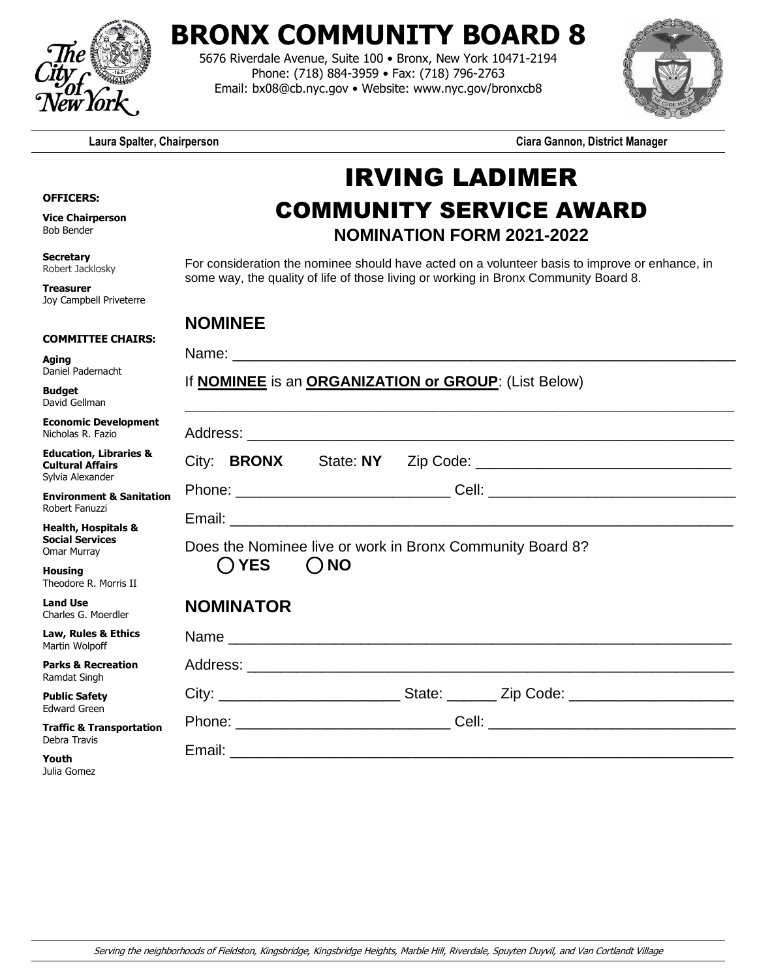

## **BRONX COMMUNITY BOARD 8**

5676 Riverdale Avenue, Suite 100 • Bronx, New York 10471-2194 Phone: (718) 884-3959 • Fax: (718) 796-2763 Email: bx08@cb.nyc.gov • Website: www.nyc.gov/bronxcb8



**Laura Spalter, Chairperson Ciara Gannon, District Manager**

## IRVING LADIMER COMMUNITY SERVICE AWARD **NOMINATION FORM 2021-2022**

For consideration the nominee should have acted on a volunteer basis to improve or enhance, in some way, the quality of life of those living or working in Bronx Community Board 8.

## **NOMINEE**

Joy Campbell Priveterre

**OFFICERS: Vice Chairperson** Bob Bender

**Secretary** Robert Jacklosky **Treasurer**

**Youth** Julia Gomez

|                                                                                  | <b>NOMINEE</b>                                                                                       |
|----------------------------------------------------------------------------------|------------------------------------------------------------------------------------------------------|
| <b>COMMITTEE CHAIRS:</b><br>Aging<br>Daniel Padernacht                           |                                                                                                      |
| <b>Budget</b><br>David Gellman                                                   | If <b>NOMINEE</b> is an <b>ORGANIZATION or GROUP</b> : (List Below)                                  |
| <b>Economic Development</b><br>Nicholas R. Fazio                                 |                                                                                                      |
| <b>Education, Libraries &amp;</b><br><b>Cultural Affairs</b><br>Sylvia Alexander |                                                                                                      |
| <b>Environment &amp; Sanitation</b><br>Robert Fanuzzi                            |                                                                                                      |
| <b>Health, Hospitals &amp;</b><br><b>Social Services</b><br>Omar Murray          | Does the Nominee live or work in Bronx Community Board 8?                                            |
| <b>Housing</b><br>Theodore R. Morris II                                          | $\bigcap$ YES<br>$\bigcap$ NO                                                                        |
| <b>Land Use</b><br>Charles G. Moerdler                                           | <b>NOMINATOR</b>                                                                                     |
| Law, Rules & Ethics<br>Martin Wolpoff                                            |                                                                                                      |
| <b>Parks &amp; Recreation</b><br>Ramdat Singh                                    |                                                                                                      |
| <b>Public Safety</b><br><b>Edward Green</b>                                      | City: ________________________________State: ___________ Zip Code: _________________________________ |
| <b>Traffic &amp; Transportation</b><br>Debra Travis                              |                                                                                                      |
| $M = 1.11$                                                                       |                                                                                                      |